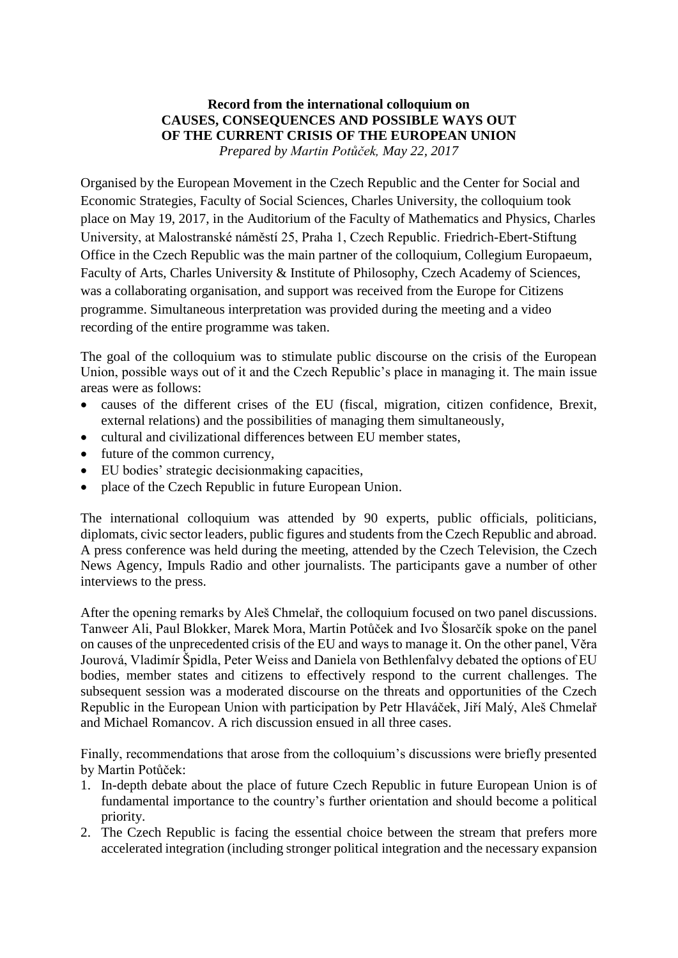## **Record from the international colloquium on CAUSES, CONSEQUENCES AND POSSIBLE WAYS OUT OF THE CURRENT CRISIS OF THE EUROPEAN UNION** *Prepared by Martin Potůček, May 22, 2017*

Organised by the European Movement in the Czech Republic and the Center for Social and Economic Strategies, Faculty of Social Sciences, Charles University, the colloquium took place on May 19, 2017, in the Auditorium of the Faculty of Mathematics and Physics, Charles University, at Malostranské náměstí 25, Praha 1, Czech Republic. Friedrich-Ebert-Stiftung Office in the Czech Republic was the main partner of the colloquium, Collegium Europaeum, Faculty of Arts, Charles University & Institute of Philosophy, Czech Academy of Sciences, was a collaborating organisation, and support was received from the Europe for Citizens programme. Simultaneous interpretation was provided during the meeting and a video recording of the entire programme was taken.

The goal of the colloquium was to stimulate public discourse on the crisis of the European Union, possible ways out of it and the Czech Republic's place in managing it. The main issue areas were as follows:

- causes of the different crises of the EU (fiscal, migration, citizen confidence, Brexit, external relations) and the possibilities of managing them simultaneously,
- cultural and civilizational differences between EU member states,
- future of the common currency,
- EU bodies' strategic decisionmaking capacities,
- place of the Czech Republic in future European Union.

The international colloquium was attended by 90 experts, public officials, politicians, diplomats, civic sector leaders, public figures and students from the Czech Republic and abroad. A press conference was held during the meeting, attended by the Czech Television, the Czech News Agency, Impuls Radio and other journalists. The participants gave a number of other interviews to the press.

After the opening remarks by Aleš Chmelař, the colloquium focused on two panel discussions. Tanweer Ali, Paul Blokker, Marek Mora, Martin Potůček and Ivo Šlosarčík spoke on the panel on causes of the unprecedented crisis of the EU and ways to manage it. On the other panel, Věra Jourová, Vladimír Špidla, Peter Weiss and Daniela von Bethlenfalvy debated the options of EU bodies, member states and citizens to effectively respond to the current challenges. The subsequent session was a moderated discourse on the threats and opportunities of the Czech Republic in the European Union with participation by Petr Hlaváček, Jiří Malý, Aleš Chmelař and Michael Romancov. A rich discussion ensued in all three cases.

Finally, recommendations that arose from the colloquium's discussions were briefly presented by Martin Potůček:

- 1. In-depth debate about the place of future Czech Republic in future European Union is of fundamental importance to the country's further orientation and should become a political priority.
- 2. The Czech Republic is facing the essential choice between the stream that prefers more accelerated integration (including stronger political integration and the necessary expansion